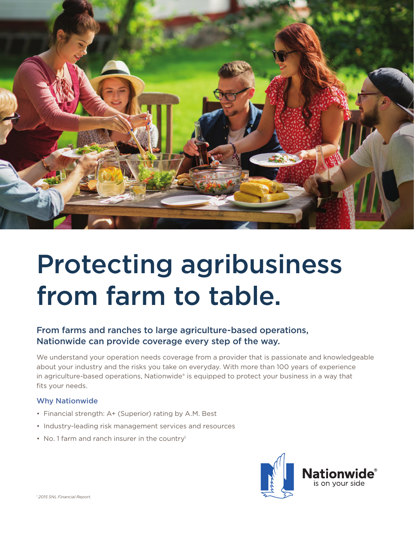

# Protecting agribusiness from farm to table.

## From farms and ranches to large agriculture-based operations, Nationwide can provide coverage every step of the way.

We understand your operation needs coverage from a provider that is passionate and knowledgeable about your industry and the risks you take on everyday. With more than 100 years of experience in agriculture-based operations, Nationwide® is equipped to protect your business in a way that fits your needs.

#### Why Nationwide

- Financial strength: A+ (Superior) rating by A.M. Best
- Industry-leading risk management services and resources
- No. 1 farm and ranch insurer in the country<sup>1</sup>